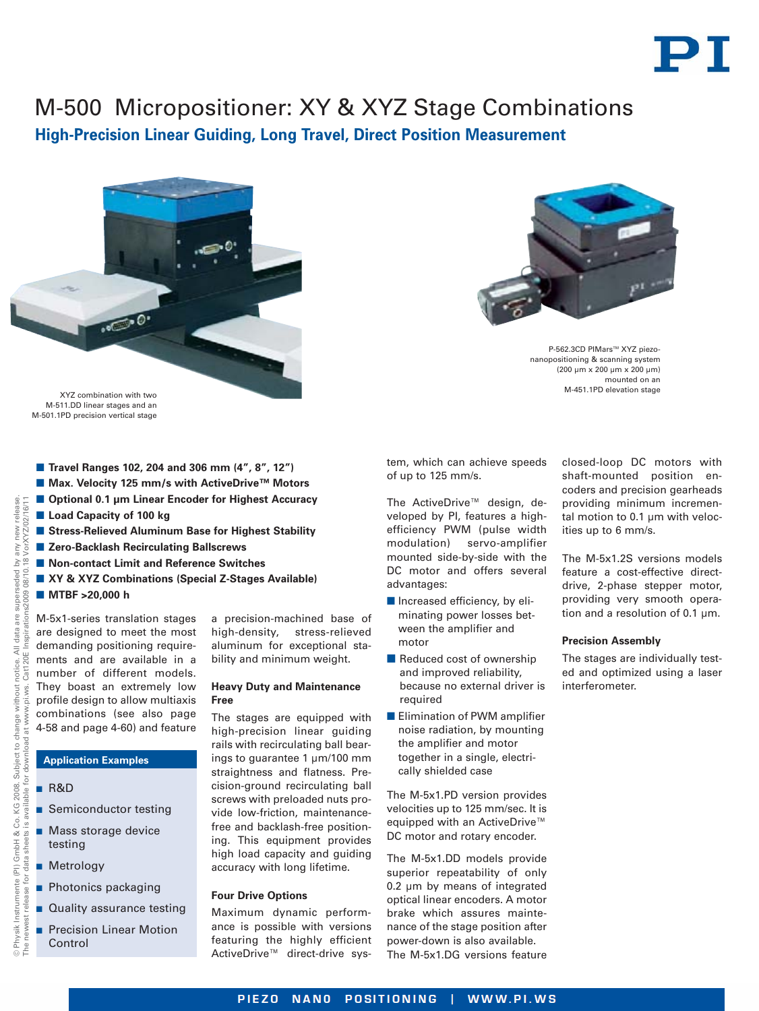# PT

## M-500 Micropositioner: XY & XYZ Stage Combinations

**High-Precision Linear Guiding, Long Travel, Direct Position Measurement**



XYZ combination with two M-511.DD linear stages and an M-501.1PD precision vertical stage

- **Travel Ranges 102, 204 and 306 mm (4", 8", 12")**
- Max. Velocity 125 mm/s with ActiveDrive<sup>™</sup> Motors
- -**Optional 0.1 μm Linear Encoder for Highest Accuracy**
- **E** Load Capacity of 100 kg
- Stress-Relieved Aluminum Base for Highest Stability
- Zero-Backlash Recirculating Ballscrews
- Non-contact Limit and Reference Switches
- XY & XYZ Combinations (Special Z-Stages Available)
- **MTBF >20,000 h**

**Application Examples**

testing

Control

VorXYZ/02/16/11

release. /orXYZ/02/16/11 new i any

> are designed to meet the most demanding positioning requirements and are available in a number of different models. They boast an extremely low a precision-machined base of high-density, stress-relieved aluminum for exceptional stability and minimum weight.

### **Heavy Duty and Maintenance Free**

The stages are equipped with high-precision linear guiding rails with recirculating ball bearings to guarantee 1 µm/100 mm straightness and flatness. Precision-ground recirculating ball screws with preloaded nuts provide low-friction, maintenancefree and backlash-free positioning. This equipment provides high load capacity and guiding accuracy with long lifetime.

### **Four Drive Options**

Maximum dynamic performance is possible with versions featuring the highly efficient ActiveDrive™ direct-drive sys-



P-562.3CD PIMars™ XYZ piezonanopositioning & scanning system (200 µm x 200 µm x 200 µm) mounted on an M-451.1PD elevation stage

tem, which can achieve speeds of up to 125 mm/s.

The ActiveDrive™ design, developed by PI, features a highefficiency PWM (pulse width modulation) servo-amplifier mounted side-by-side with the DC motor and offers several advantages:

- **n** Increased efficiency, by eliminating power losses between the amplifier and motor
- **Reduced cost of ownership** and improved reliability, because no external driver is required
- **Elimination of PWM amplifier** noise radiation, by mounting the amplifier and motor together in a single, electrically shielded case

The M-5x1.PD version provides velocities up to 125 mm/sec. It is equipped with an ActiveDrive™ DC motor and rotary encoder.

The M-5x1.DD models provide superior repeatability of only 0.2 µm by means of integrated optical linear encoders. A motor brake which assures maintenance of the stage position after power-down is also available. The M-5x1.DG versions feature closed-loop DC motors with shaft-mounted position encoders and precision gearheads providing minimum incremental motion to 0.1 µm with velocities up to 6 mm/s.

The M-5x1.2S versions models feature a cost-effective directdrive, 2-phase stepper motor, providing very smooth operation and a resolution of 0.1 µm.

### **Precision Assembly**

The stages are individually tested and optimized using a laser interferometer.